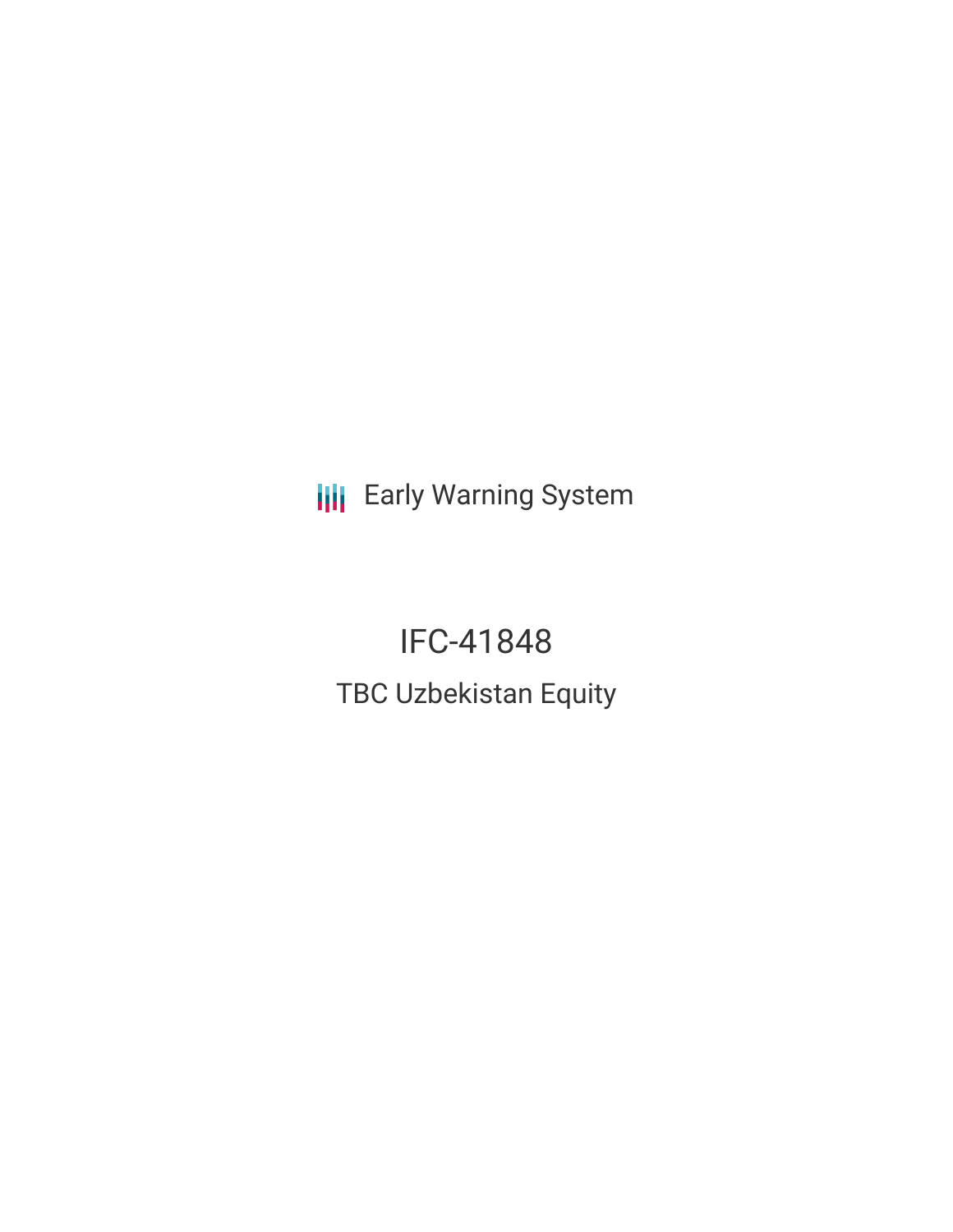**III** Early Warning System

IFC-41848 TBC Uzbekistan Equity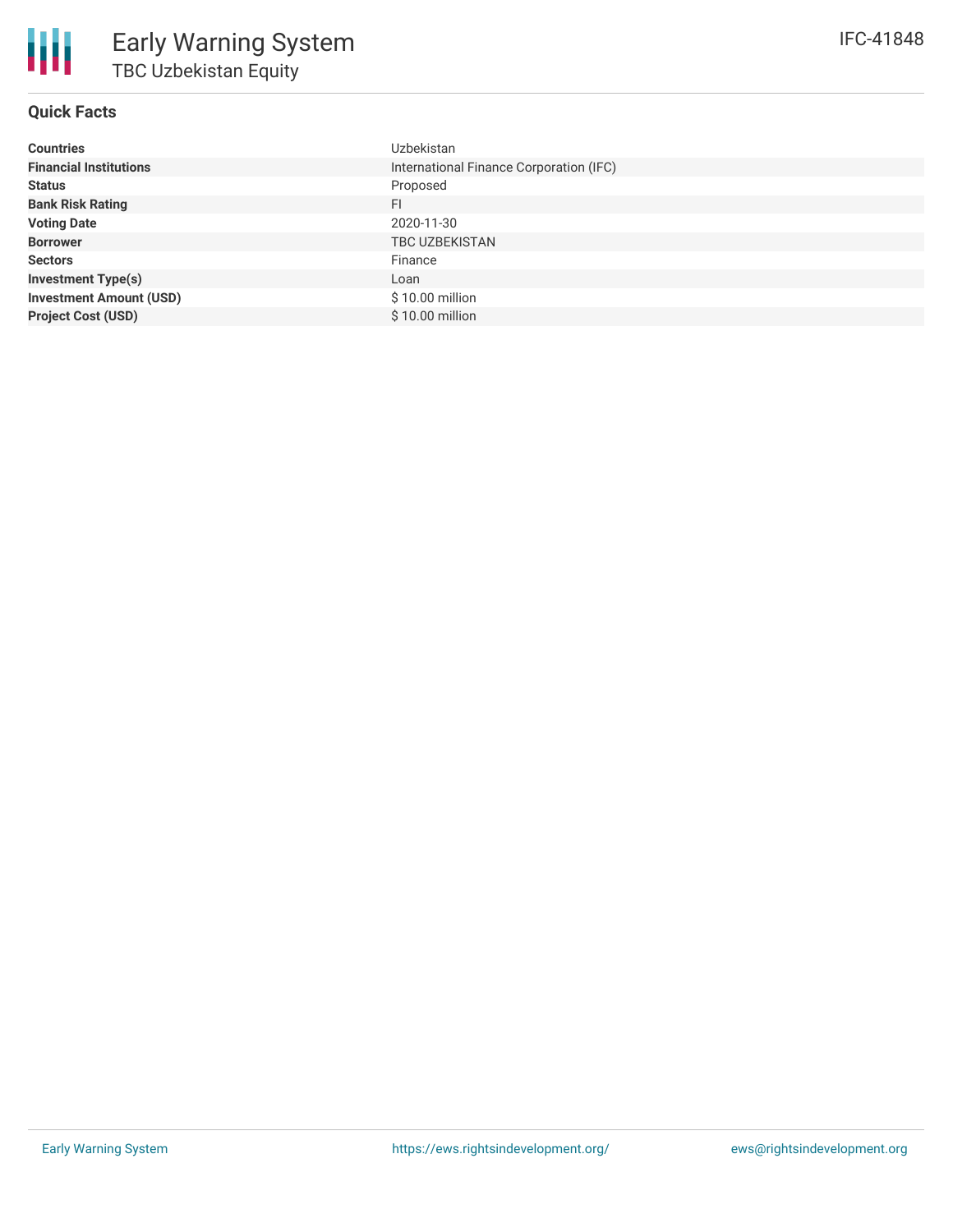# **Quick Facts**

| <b>Countries</b>               | Uzbekistan                              |
|--------------------------------|-----------------------------------------|
| <b>Financial Institutions</b>  | International Finance Corporation (IFC) |
| <b>Status</b>                  | Proposed                                |
| <b>Bank Risk Rating</b>        | <b>FI</b>                               |
| <b>Voting Date</b>             | 2020-11-30                              |
| <b>Borrower</b>                | <b>TBC UZBEKISTAN</b>                   |
| <b>Sectors</b>                 | Finance                                 |
| <b>Investment Type(s)</b>      | Loan                                    |
| <b>Investment Amount (USD)</b> | $$10.00$ million                        |
| <b>Project Cost (USD)</b>      | \$10.00 million                         |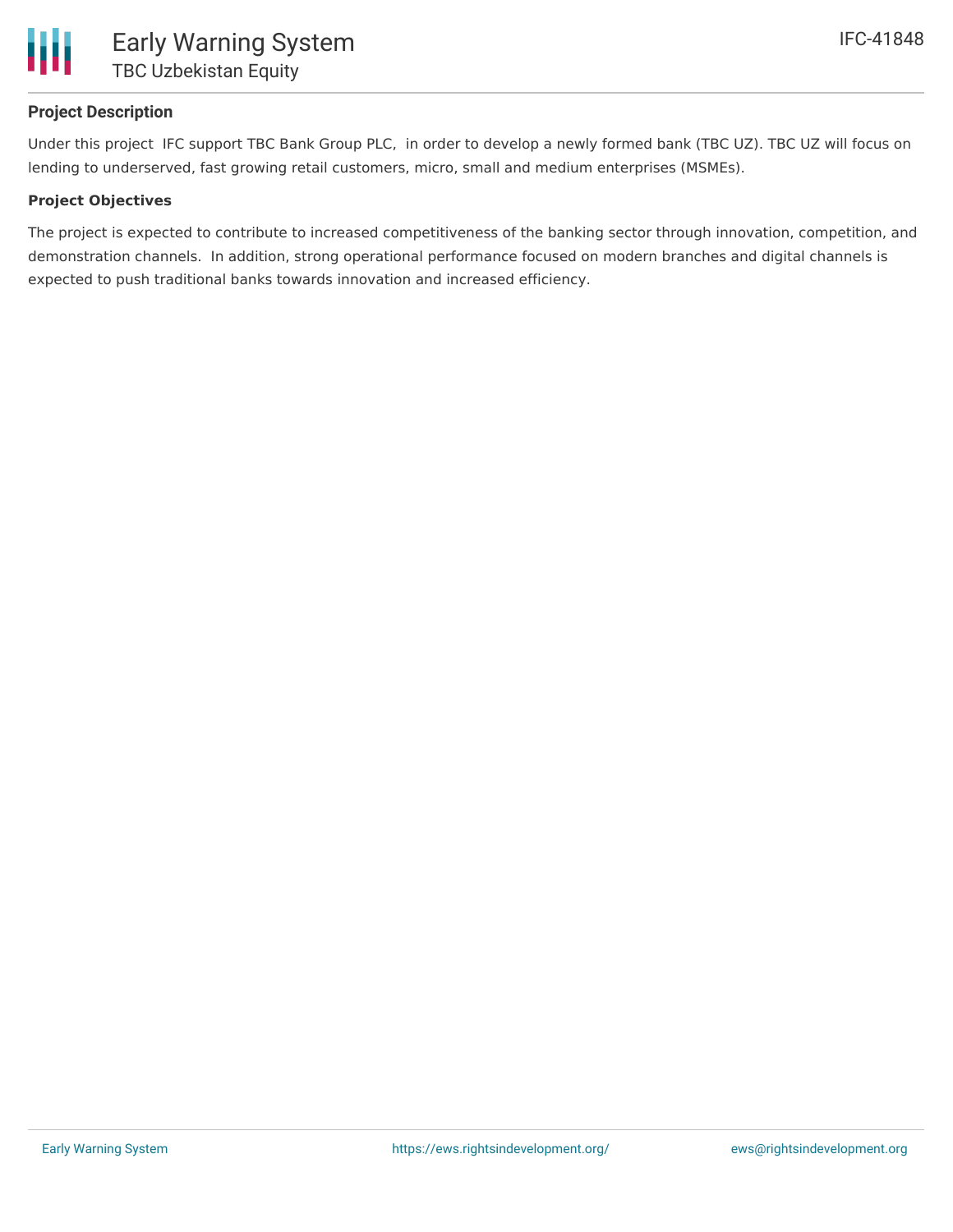

# **Project Description**

Under this project IFC support TBC Bank Group PLC, in order to develop a newly formed bank (TBC UZ). TBC UZ will focus on lending to underserved, fast growing retail customers, micro, small and medium enterprises (MSMEs).

### **Project Objectives**

The project is expected to contribute to increased competitiveness of the banking sector through innovation, competition, and demonstration channels. In addition, strong operational performance focused on modern branches and digital channels is expected to push traditional banks towards innovation and increased efficiency.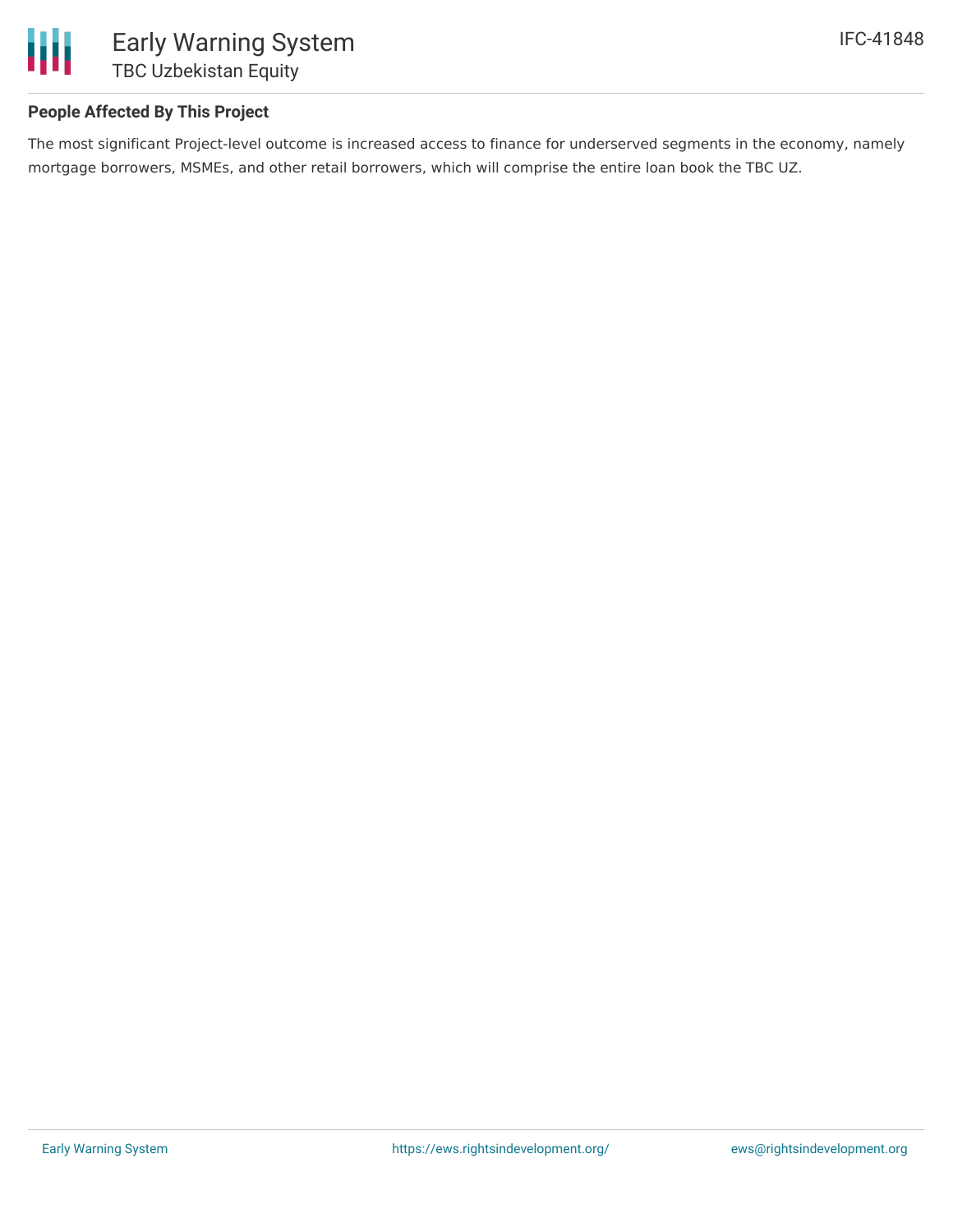

# **People Affected By This Project**

The most significant Project-level outcome is increased access to finance for underserved segments in the economy, namely mortgage borrowers, MSMEs, and other retail borrowers, which will comprise the entire loan book the TBC UZ.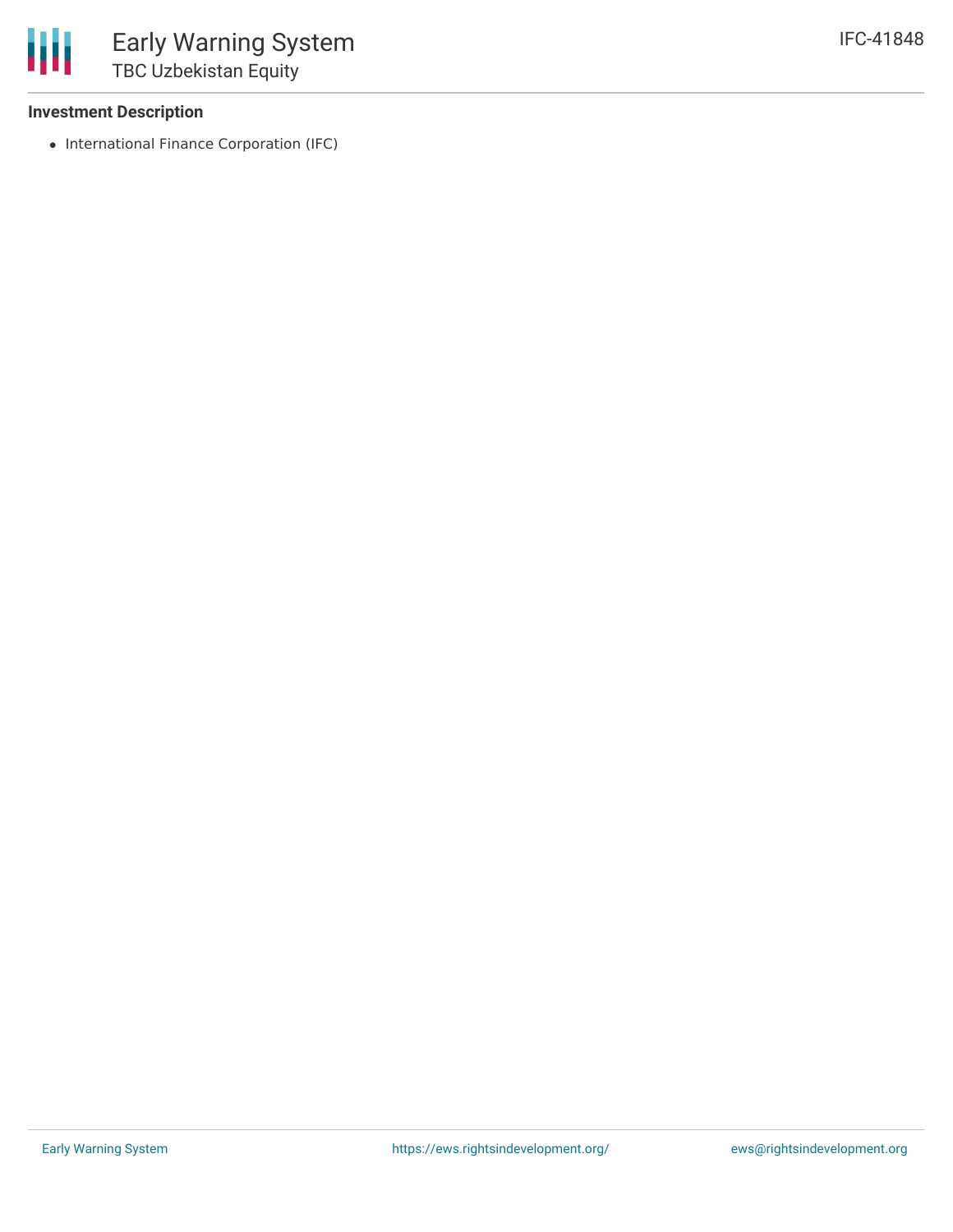# **Investment Description**

• International Finance Corporation (IFC)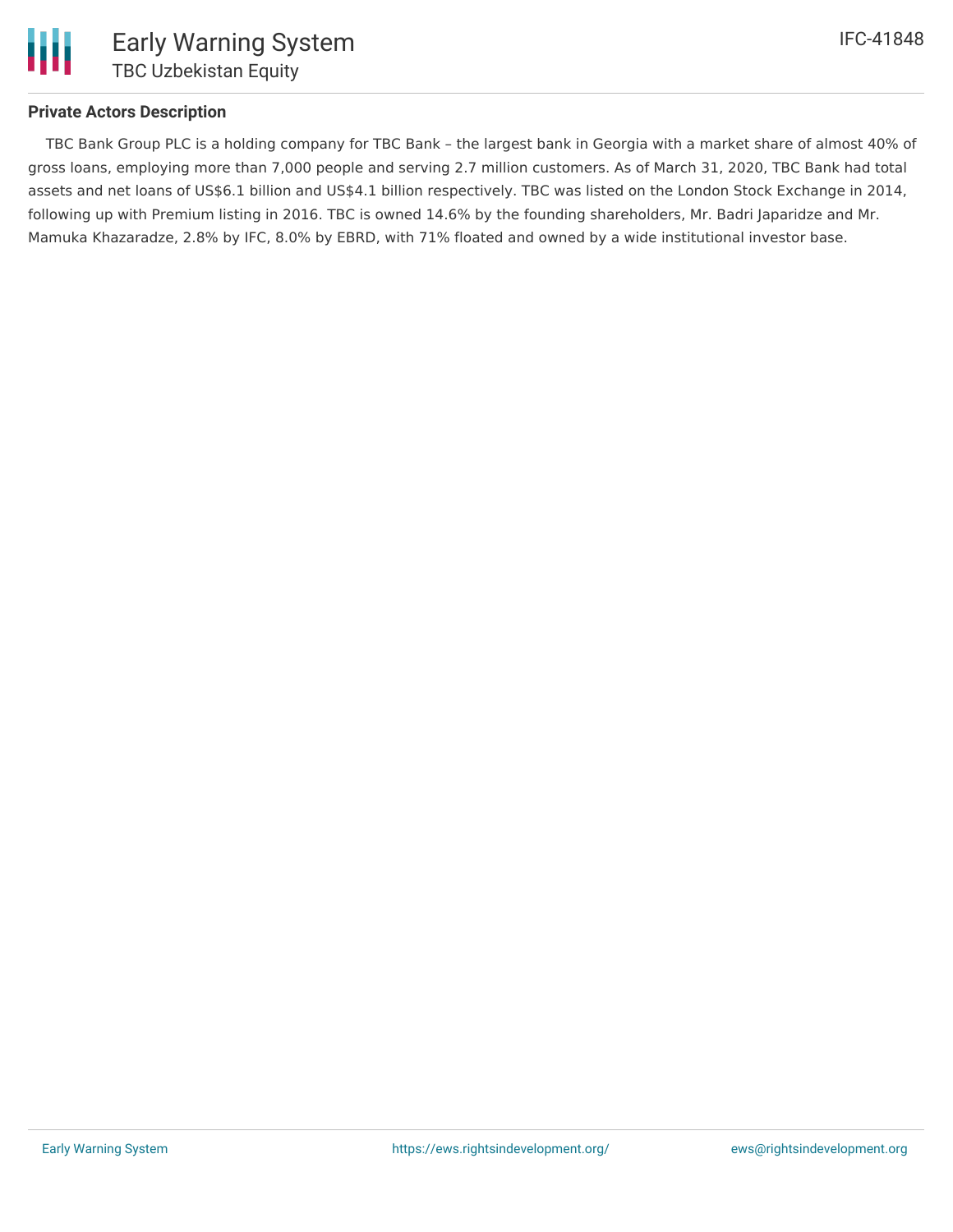

## **Private Actors Description**

TBC Bank Group PLC is a holding company for TBC Bank – the largest bank in Georgia with a market share of almost 40% of gross loans, employing more than 7,000 people and serving 2.7 million customers. As of March 31, 2020, TBC Bank had total assets and net loans of US\$6.1 billion and US\$4.1 billion respectively. TBC was listed on the London Stock Exchange in 2014, following up with Premium listing in 2016. TBC is owned 14.6% by the founding shareholders, Mr. Badri Japaridze and Mr. Mamuka Khazaradze, 2.8% by IFC, 8.0% by EBRD, with 71% floated and owned by a wide institutional investor base.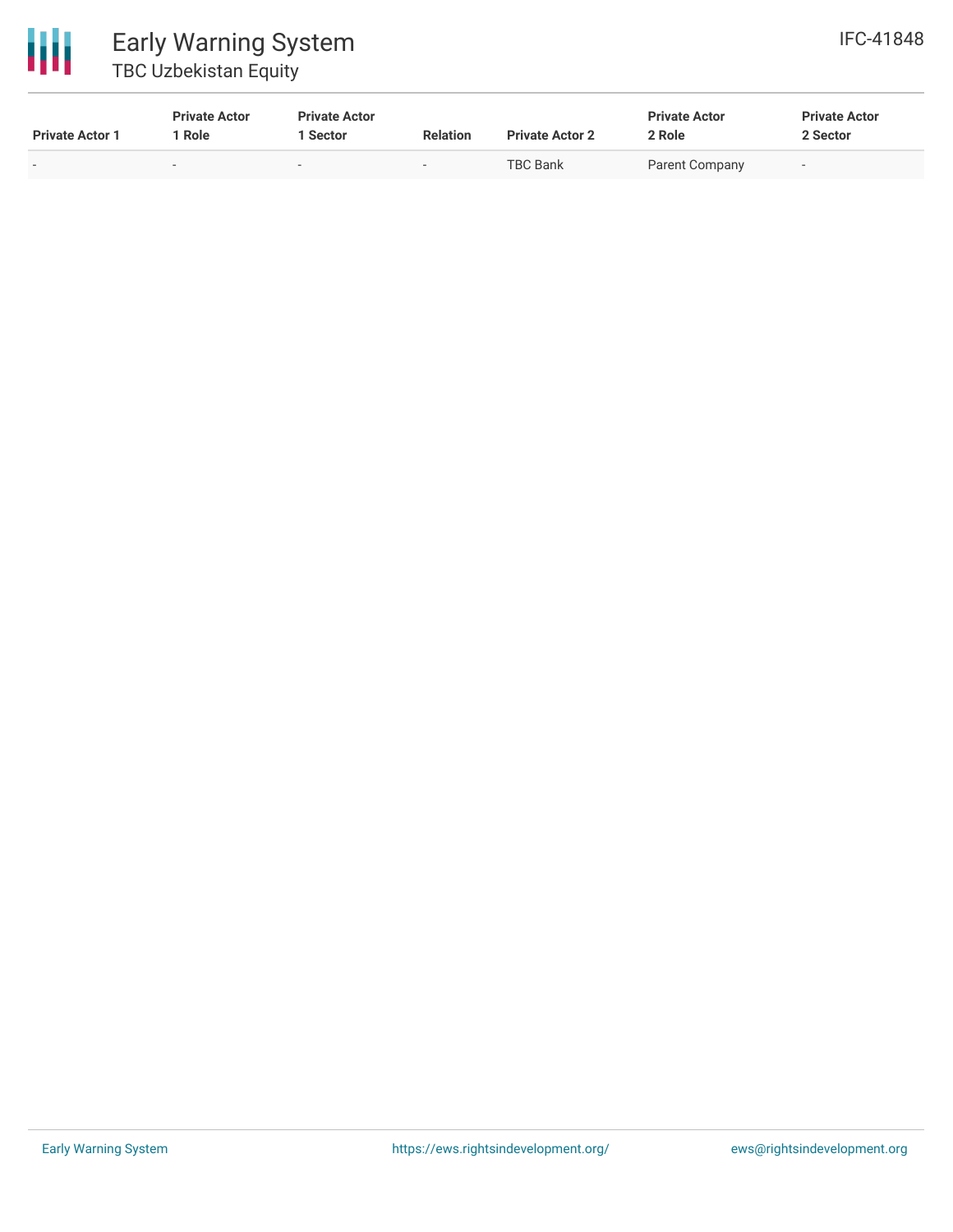

| <b>Private Actor 1</b> | <b>Private Actor</b><br>Role | <b>Private Actor</b><br><b>Sector</b> | <b>Relation</b> | <b>Private Actor 2</b> | <b>Private Actor</b><br>2 Role | <b>Private Actor</b><br>2 Sector |
|------------------------|------------------------------|---------------------------------------|-----------------|------------------------|--------------------------------|----------------------------------|
|                        |                              | $\overline{\phantom{0}}$              |                 | TBC Bank               | Parent Company                 |                                  |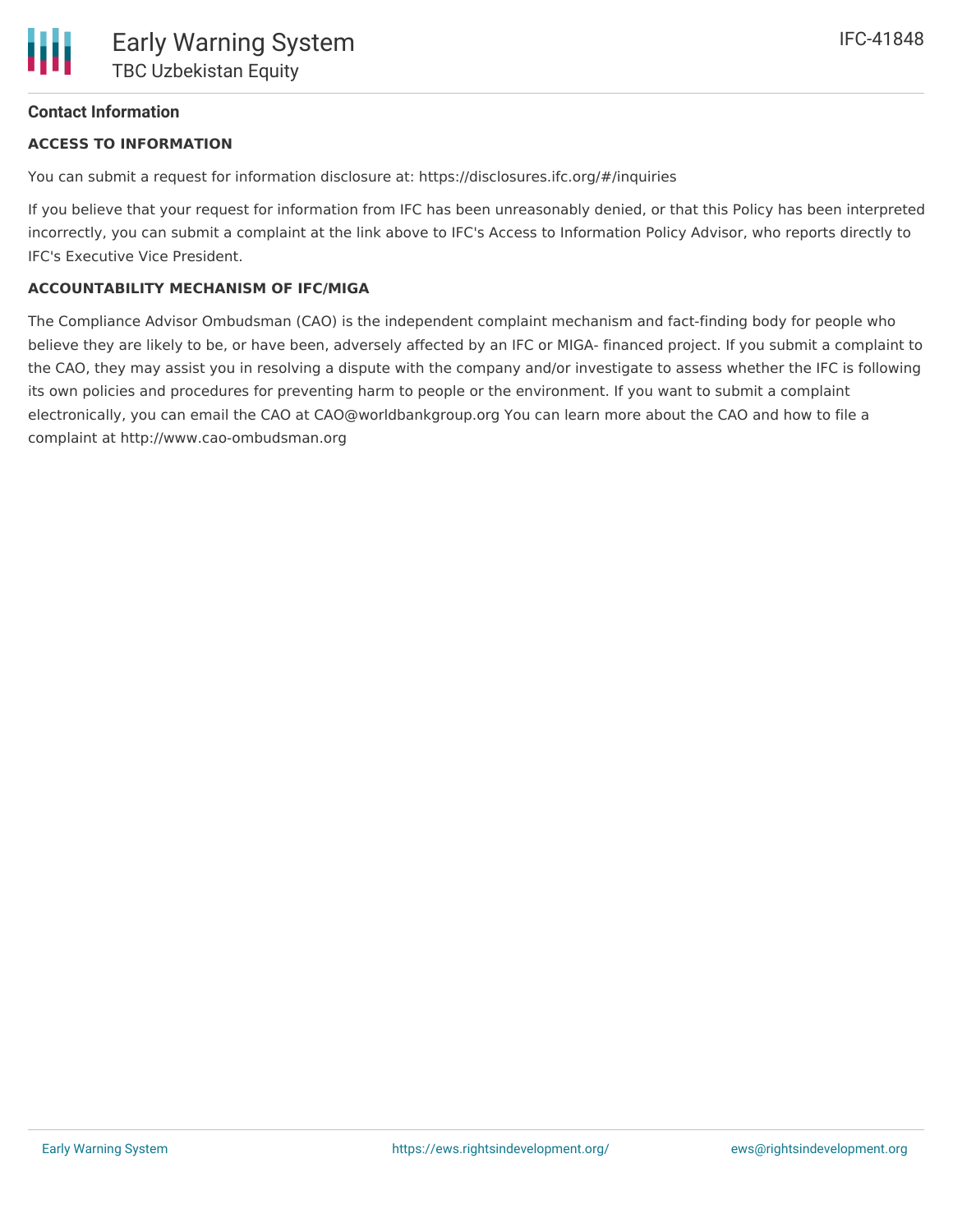# **Contact Information**

# **ACCESS TO INFORMATION**

You can submit a request for information disclosure at: https://disclosures.ifc.org/#/inquiries

If you believe that your request for information from IFC has been unreasonably denied, or that this Policy has been interpreted incorrectly, you can submit a complaint at the link above to IFC's Access to Information Policy Advisor, who reports directly to IFC's Executive Vice President.

### **ACCOUNTABILITY MECHANISM OF IFC/MIGA**

The Compliance Advisor Ombudsman (CAO) is the independent complaint mechanism and fact-finding body for people who believe they are likely to be, or have been, adversely affected by an IFC or MIGA- financed project. If you submit a complaint to the CAO, they may assist you in resolving a dispute with the company and/or investigate to assess whether the IFC is following its own policies and procedures for preventing harm to people or the environment. If you want to submit a complaint electronically, you can email the CAO at CAO@worldbankgroup.org You can learn more about the CAO and how to file a complaint at http://www.cao-ombudsman.org